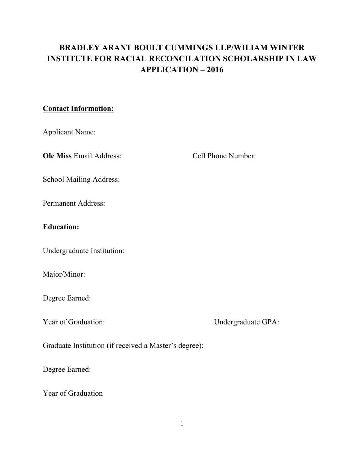# **BRADLEY ARANT BOULT CUMMINGS LLP/WILIAM WINTER INSTITUTE FOR RACIAL RECONCILATION SCHOLARSHIP IN LAW APPLICATION – 2016**

#### **Contact Information:**

Applicant Name:

**Ole Miss** Email Address: Cell Phone Number:

School Mailing Address:

Permanent Address:

## **Education:**

Undergraduate Institution:

Major/Minor:

Degree Earned:

Year of Graduation: Undergraduate GPA:

Graduate Institution (if received a Master's degree):

Degree Earned:

Year of Graduation